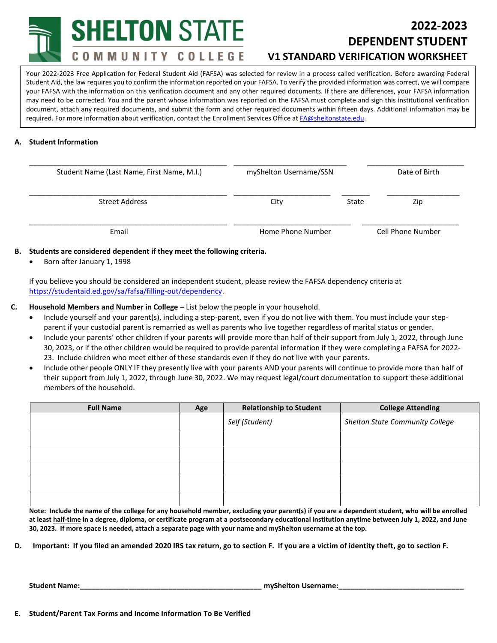**SHELTON STATE** 

COMMUNITY COLLEGE

# **2022-2023 DEPENDENT STUDENT V1 STANDARD VERIFICATION WORKSHEET**

**(Attach V5 if required.)** Your 2022-2023 Free Application for Federal Student Aid (FAFSA) was selected for review in a process called verification. Before awarding Federal Student Aid, the law requires you to confirm the information reported on your FAFSA. To verify the provided information was correct, we will compare your FAFSA with the information on this verification document and any other required documents. If there are differences, your FAFSA information may need to be corrected. You and the parent whose information was reported on the FAFSA must complete and sign this institutional verification document, attach any required documents, and submit the form and other required documents within fifteen days. Additional information may be required. For more information about verification, contact the Enrollment Services Office a[t FA@sheltonstate.edu.](mailto:FA@sheltonstate.edu)

## **A. Student Information**

| Student Name (Last Name, First Name, M.I.) | myShelton Username/SSN |       | Date of Birth     |  |
|--------------------------------------------|------------------------|-------|-------------------|--|
| Street Address                             | City                   | State | Zip               |  |
| Email                                      | Home Phone Number      |       | Cell Phone Number |  |

### **B. Students are considered dependent if they meet the following criteria.**

• Born after January 1, 1998

If you believe you should be considered an independent student, please review the FAFSA dependency criteria at [https://studentaid.ed.gov/sa/fafsa/filling-out/dependency.](https://studentaid.ed.gov/sa/fafsa/filling-out/dependency)

### **C. Household Members and Number in College –** List below the people in your household.

- Include yourself and your parent(s), including a step-parent, even if you do not live with them. You must include your stepparent if your custodial parent is remarried as well as parents who live together regardless of marital status or gender.
- Include your parents' other children if your parents will provide more than half of their support from July 1, 2022, through June 30, 2023, or if the other children would be required to provide parental information if they were completing a FAFSA for 2022- 23. Include children who meet either of these standards even if they do not live with your parents.
- Include other people ONLY IF they presently live with your parents AND your parents will continue to provide more than half of their support from July 1, 2022, through June 30, 2022. We may request legal/court documentation to support these additional members of the household.

| <b>Full Name</b> | Age | <b>Relationship to Student</b><br><b>College Attending</b> |                                 |
|------------------|-----|------------------------------------------------------------|---------------------------------|
|                  |     | Self (Student)                                             | Shelton State Community College |
|                  |     |                                                            |                                 |
|                  |     |                                                            |                                 |
|                  |     |                                                            |                                 |
|                  |     |                                                            |                                 |
|                  |     |                                                            |                                 |

**Note: Include the name of the college for any household member, excluding your parent(s) if you are a dependent student, who will be enrolled at least half-time in a degree, diploma, or certificate program at a postsecondary educational institution anytime between July 1, 2022, and June 30, 2023. If more space is needed, attach a separate page with your name and myShelton username at the top.**

**D. Important: If you filed an amended 2020 IRS tax return, go to section F. If you are a victim of identity theft, go to section F.**

**Student Name:\_\_\_\_\_\_\_\_\_\_\_\_\_\_\_\_\_\_\_\_\_\_\_\_\_\_\_\_\_\_\_\_\_\_\_\_\_\_\_\_\_\_\_\_\_ myShelton Username:\_\_\_\_\_\_\_\_\_\_\_\_\_\_\_\_\_\_\_\_\_\_\_\_\_\_\_\_\_\_\_**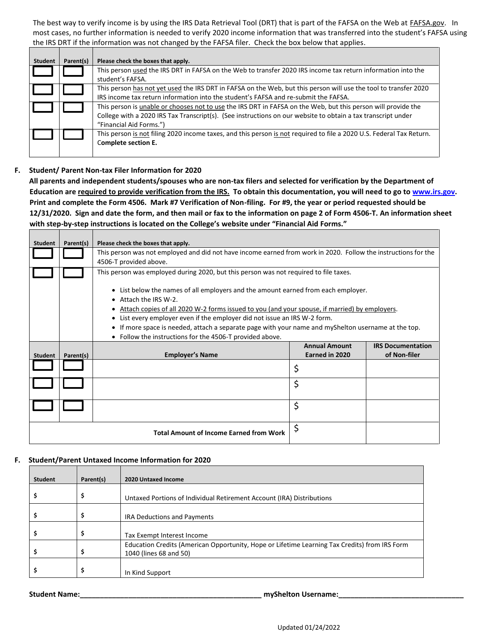The best way to verify income is by using the IRS Data Retrieval Tool (DRT) that is part of the FAFSA on the Web at *FAFSA.gov*. In most cases, no further information is needed to verify 2020 income information that was transferred into the student's FAFSA using the IRS DRT if the information was not changed by the FAFSA filer. Check the box below that applies.

| <b>Student</b> | Parent(s) | Please check the boxes that apply.                                                                                                                                                                                                                       |
|----------------|-----------|----------------------------------------------------------------------------------------------------------------------------------------------------------------------------------------------------------------------------------------------------------|
|                |           | This person used the IRS DRT in FAFSA on the Web to transfer 2020 IRS income tax return information into the<br>student's FAFSA.                                                                                                                         |
|                |           | This person has not yet used the IRS DRT in FAFSA on the Web, but this person will use the tool to transfer 2020<br>IRS income tax return information into the student's FAFSA and re-submit the FAFSA.                                                  |
|                |           | This person is unable or chooses not to use the IRS DRT in FAFSA on the Web, but this person will provide the<br>College with a 2020 IRS Tax Transcript(s). (See instructions on our website to obtain a tax transcript under<br>"Financial Aid Forms.") |
|                |           | This person is not filing 2020 income taxes, and this person is not required to file a 2020 U.S. Federal Tax Return.<br>Complete section E.                                                                                                              |

### **F. Student/ Parent Non-tax Filer Information for 2020**

 $\blacksquare$ 

 $\Box$ 

<u> Tanzania (</u>

**All parents and independent students/spouses who are non-tax filers and selected for verification by the Department of Education are required to provide verification from the IRS. To obtain this documentation, you will need to go to [www.irs.gov.](http://www.irs.gov/) Print and complete the Form 4506. Mark #7 Verification of Non-filing. For #9, the year or period requested should be 12/31/2020. Sign and date the form, and then mail or fax to the information on page 2 of Form 4506-T. An information sheet with step-by-step instructions is located on the College's website under "Financial Aid Forms."**

| <b>Student</b> | Parent(s) | Please check the boxes that apply.                                                                                                                              |                      |                          |  |  |
|----------------|-----------|-----------------------------------------------------------------------------------------------------------------------------------------------------------------|----------------------|--------------------------|--|--|
|                |           | This person was not employed and did not have income earned from work in 2020. Follow the instructions for the                                                  |                      |                          |  |  |
|                |           | 4506-T provided above.                                                                                                                                          |                      |                          |  |  |
|                |           | This person was employed during 2020, but this person was not required to file taxes.                                                                           |                      |                          |  |  |
|                |           |                                                                                                                                                                 |                      |                          |  |  |
|                |           | • List below the names of all employers and the amount earned from each employer.                                                                               |                      |                          |  |  |
|                |           | • Attach the IRS W-2.                                                                                                                                           |                      |                          |  |  |
|                |           | Attach copies of all 2020 W-2 forms issued to you (and your spouse, if married) by employers.                                                                   |                      |                          |  |  |
|                |           | • List every employer even if the employer did not issue an IRS W-2 form.                                                                                       |                      |                          |  |  |
|                |           | • If more space is needed, attach a separate page with your name and myShelton username at the top.<br>• Follow the instructions for the 4506-T provided above. |                      |                          |  |  |
|                |           |                                                                                                                                                                 | <b>Annual Amount</b> | <b>IRS Documentation</b> |  |  |
| <b>Student</b> | Parent(s) | <b>Employer's Name</b>                                                                                                                                          | Earned in 2020       | of Non-filer             |  |  |
|                |           |                                                                                                                                                                 | \$                   |                          |  |  |
|                |           |                                                                                                                                                                 | \$                   |                          |  |  |
|                |           |                                                                                                                                                                 |                      |                          |  |  |
|                |           |                                                                                                                                                                 | \$                   |                          |  |  |
|                |           |                                                                                                                                                                 |                      |                          |  |  |
|                |           | <b>Total Amount of Income Earned from Work</b>                                                                                                                  | \$                   |                          |  |  |

#### **F. Student/Parent Untaxed Income Information for 2020**

| <b>Student</b> | Parent(s) | 2020 Untaxed Income                                                                                                     |
|----------------|-----------|-------------------------------------------------------------------------------------------------------------------------|
|                | \$        | Untaxed Portions of Individual Retirement Account (IRA) Distributions                                                   |
|                | \$        | <b>IRA Deductions and Payments</b>                                                                                      |
|                | \$        | Tax Exempt Interest Income                                                                                              |
|                | \$        | Education Credits (American Opportunity, Hope or Lifetime Learning Tax Credits) from IRS Form<br>1040 (lines 68 and 50) |
|                | \$        | In Kind Support                                                                                                         |

**Student Name:\_\_\_\_\_\_\_\_\_\_\_\_\_\_\_\_\_\_\_\_\_\_\_\_\_\_\_\_\_\_\_\_\_\_\_\_\_\_\_\_\_\_\_\_\_ myShelton Username:\_\_\_\_\_\_\_\_\_\_\_\_\_\_\_\_\_\_\_\_\_\_\_\_\_\_\_\_\_\_\_**